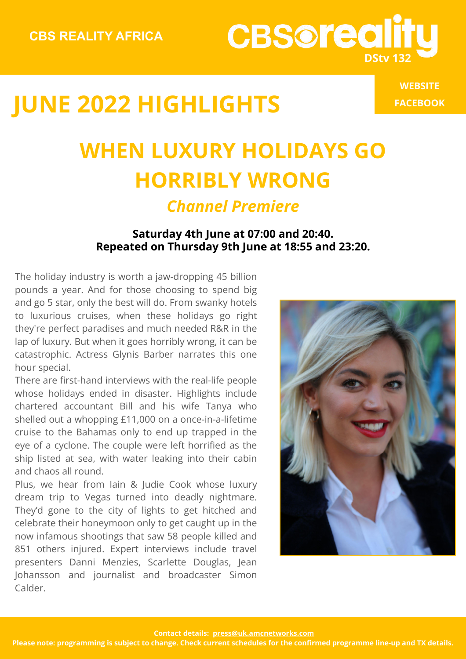**[WEBSITE](https://www.cbsreality.tv/eu_2/) [FACEBOOK](https://www.facebook.com/CBSrealitySA/)**

# **WHEN LUXURY HOLIDAYS GO HORRIBLY WRONG**

**CBSoreal** 

#### *Channel Premiere*

#### **Saturday 4th June at 07:00 and 20:40. Repeated on Thursday 9th June at 18:55 and 23:20.**

The holiday industry is worth a jaw-dropping 45 billion pounds a year. And for those choosing to spend big and go 5 star, only the best will do. From swanky hotels to luxurious cruises, when these holidays go right they're perfect paradises and much needed R&R in the lap of luxury. But when it goes horribly wrong, it can be catastrophic. Actress Glynis Barber narrates this one hour special.

There are first-hand interviews with the real-life people whose holidays ended in disaster. Highlights include chartered accountant Bill and his wife Tanya who shelled out a whopping £11,000 on a once-in-a-lifetime cruise to the Bahamas only to end up trapped in the eye of a cyclone. The couple were left horrified as the ship listed at sea, with water leaking into their cabin and chaos all round.

Plus, we hear from Iain & Judie Cook whose luxury dream trip to Vegas turned into deadly nightmare. They'd gone to the city of lights to get hitched and celebrate their honeymoon only to get caught up in the now infamous shootings that saw 58 people killed and 851 others injured. Expert interviews include travel presenters Danni Menzies, Scarlette Douglas, Jean Johansson and journalist and broadcaster Simon Calder.

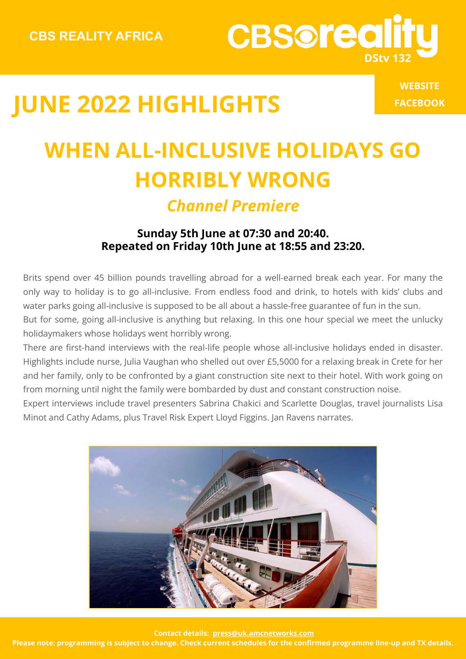**[WEBSITE](https://www.cbsreality.tv/eu_2/) [FACEBOOK](https://www.facebook.com/CBSrealitySA/)**

**DStv 132**

**CBSoreal** 

### **WHEN ALL-INCLUSIVE HOLIDAYS GO HORRIBLY WRONG** *Channel Premiere*

#### **Sunday 5th June at 07:30 and 20:40. Repeated on Friday 10th June at 18:55 and 23:20.**

Brits spend over 45 billion pounds travelling abroad for a well-earned break each year. For many the only way to holiday is to go all-inclusive. From endless food and drink, to hotels with kids' clubs and water parks going all-inclusive is supposed to be all about a hassle-free guarantee of fun in the sun. But for some, going all-inclusive is anything but relaxing. In this one hour special we meet the unlucky

holidaymakers whose holidays went horribly wrong.

There are first-hand interviews with the real-life people whose all-inclusive holidays ended in disaster. Highlights include nurse, Julia Vaughan who shelled out over £5,5000 for a relaxing break in Crete for her and her family, only to be confronted by a giant construction site next to their hotel. With work going on from morning until night the family were bombarded by dust and constant construction noise.

Expert interviews include travel presenters Sabrina Chakici and Scarlette Douglas, travel journalists Lisa Minot and Cathy Adams, plus Travel Risk Expert Lloyd Figgins. Jan Ravens narrates.



 **Contact details: press@uk.amcnetworks.com**

**Please note: programming is subject to change. Check current schedules for the confirmed programme line-up and TX details.**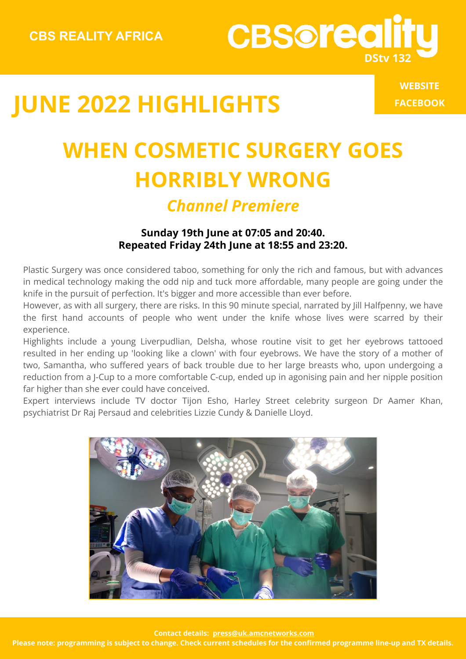**[WEBSITE](https://www.cbsreality.tv/eu_2/) [FACEBOOK](https://www.facebook.com/CBSrealitySA/)**

**DStv 132**

**CBSoreal** 

### **WHEN COSMETIC SURGERY GOES HORRIBLY WRONG** *Channel Premiere*

#### **Sunday 19th June at 07:05 and 20:40. Repeated Friday 24th June at 18:55 and 23:20.**

Plastic Surgery was once considered taboo, something for only the rich and famous, but with advances in medical technology making the odd nip and tuck more affordable, many people are going under the knife in the pursuit of perfection. It's bigger and more accessible than ever before.

However, as with all surgery, there are risks. In this 90 minute special, narrated by Jill Halfpenny, we have the first hand accounts of people who went under the knife whose lives were scarred by their experience.

Highlights include a young Liverpudlian, Delsha, whose routine visit to get her eyebrows tattooed resulted in her ending up 'looking like a clown' with four eyebrows. We have the story of a mother of two, Samantha, who suffered years of back trouble due to her large breasts who, upon undergoing a reduction from a J-Cup to a more comfortable C-cup, ended up in agonising pain and her nipple position far higher than she ever could have conceived.

Expert interviews include TV doctor Tijon Esho, Harley Street celebrity surgeon Dr Aamer Khan, psychiatrist Dr Raj Persaud and celebrities Lizzie Cundy & Danielle Lloyd.



 **Contact details: press@uk.amcnetworks.com**

**Please note: programming is subject to change. Check current schedules for the confirmed programme line-up and TX details.**